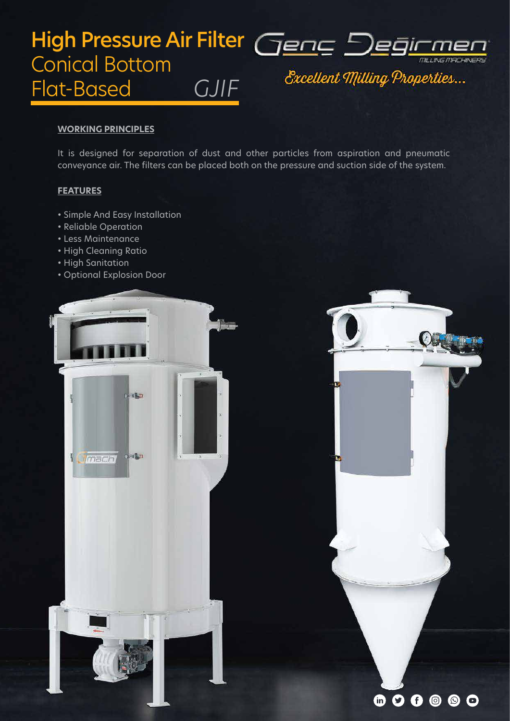

## **WORKING PRINCIPLES**

It is designed for separation of dust and other particles from aspiration and pneumatic conveyance air. The filters can be placed both on the pressure and suction side of the system.

## **FEATURES**

- Simple And Easy Installation
- Reliable Operation
- Less Maintenance
- High Cleaning Ratio
- High Sanitation
- Optional Explosion Door